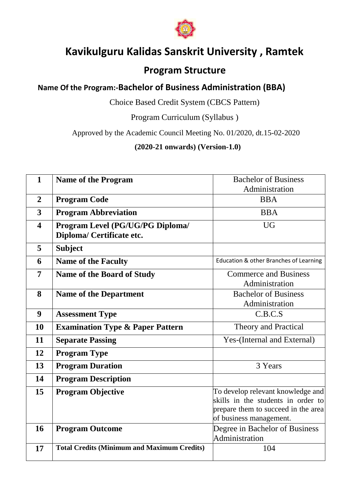

# **Kavikulguru Kalidas Sanskrit University , Ramtek**

## **Program Structure**

## **Name Of the Program:-Bachelor of Business Administration (BBA)**

Choice Based Credit System (CBCS Pattern)

Program Curriculum (Syllabus )

Approved by the Academic Council Meeting No. 01/2020, dt.15-02-2020

## **(2020-21 onwards) (Version-1.0)**

| $\mathbf{1}$            | <b>Name of the Program</b>                         | <b>Bachelor of Business</b>            |
|-------------------------|----------------------------------------------------|----------------------------------------|
|                         |                                                    | Administration                         |
| $\overline{2}$          | <b>Program Code</b>                                | <b>BBA</b>                             |
| 3                       | <b>Program Abbreviation</b>                        | <b>BBA</b>                             |
| $\overline{\mathbf{4}}$ | Program Level (PG/UG/PG Diploma/                   | <b>UG</b>                              |
|                         | Diploma/ Certificate etc.                          |                                        |
| 5                       | <b>Subject</b>                                     |                                        |
| 6                       | <b>Name of the Faculty</b>                         | Education & other Branches of Learning |
| $\overline{7}$          | <b>Name of the Board of Study</b>                  | <b>Commerce and Business</b>           |
|                         |                                                    | Administration                         |
| 8                       | <b>Name of the Department</b>                      | <b>Bachelor of Business</b>            |
|                         |                                                    | Administration                         |
| $\boldsymbol{9}$        | <b>Assessment Type</b>                             | C.B.C.S                                |
| 10                      | <b>Examination Type &amp; Paper Pattern</b>        | Theory and Practical                   |
| 11                      | <b>Separate Passing</b>                            | Yes-(Internal and External)            |
| 12                      | <b>Program Type</b>                                |                                        |
| 13                      | <b>Program Duration</b>                            | 3 Years                                |
| 14                      | <b>Program Description</b>                         |                                        |
| 15                      | <b>Program Objective</b>                           | To develop relevant knowledge and      |
|                         |                                                    | skills in the students in order to     |
|                         |                                                    | prepare them to succeed in the area    |
|                         |                                                    | of business management.                |
| 16                      | <b>Program Outcome</b>                             | Degree in Bachelor of Business         |
|                         |                                                    | Administration                         |
| 17                      | <b>Total Credits (Minimum and Maximum Credits)</b> | 104                                    |
|                         |                                                    |                                        |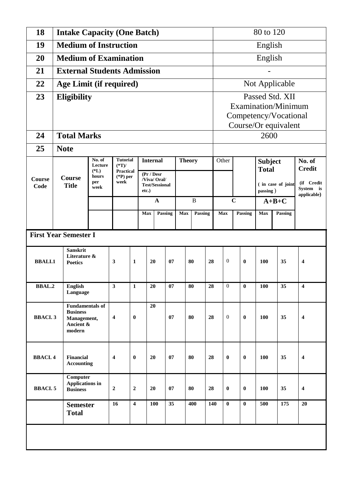| 18                           |                                                                                  | <b>Intake Capacity (One Batch)</b> |                         |                                                      |                 |             |    |               |         |         | 80 to 120                                     |                  |                                        |                                |         |                         |
|------------------------------|----------------------------------------------------------------------------------|------------------------------------|-------------------------|------------------------------------------------------|-----------------|-------------|----|---------------|---------|---------|-----------------------------------------------|------------------|----------------------------------------|--------------------------------|---------|-------------------------|
| 19                           | <b>Medium of Instruction</b>                                                     |                                    |                         |                                                      |                 |             |    |               |         |         | English                                       |                  |                                        |                                |         |                         |
| 20                           | <b>Medium of Examination</b>                                                     |                                    |                         |                                                      |                 |             |    |               |         |         | English                                       |                  |                                        |                                |         |                         |
| 21                           | <b>External Students Admission</b>                                               |                                    |                         |                                                      |                 |             |    |               |         |         |                                               |                  |                                        |                                |         |                         |
| 22                           |                                                                                  | Age Limit (if required)            |                         |                                                      |                 |             |    |               |         |         |                                               |                  |                                        | Not Applicable                 |         |                         |
| 23                           | <b>Eligibility</b>                                                               |                                    |                         |                                                      |                 |             |    |               |         |         |                                               |                  | Passed Std. XII<br>Examination/Minimum |                                |         |                         |
|                              |                                                                                  |                                    |                         |                                                      |                 |             |    |               |         |         | Competency/Vocational<br>Course/Or equivalent |                  |                                        |                                |         |                         |
| 24                           | <b>Total Marks</b>                                                               |                                    |                         |                                                      |                 |             |    |               |         |         |                                               |                  |                                        | 2600                           |         |                         |
| 25                           | <b>Note</b>                                                                      |                                    |                         |                                                      |                 |             |    |               |         |         |                                               |                  |                                        |                                |         |                         |
|                              | No. of<br><b>Tutorial</b><br>$(*T)$ /<br>Lecture<br>$(*L)$<br><b>Practical</b>   |                                    |                         |                                                      | <b>Internal</b> |             |    | <b>Theory</b> |         |         | Other                                         |                  |                                        | <b>Subject</b><br><b>Total</b> |         | No. of<br><b>Credit</b> |
| <b>Course</b><br>Code        | $(^{\ast}{\rm P})$ per<br>hours<br>Course<br>week<br>per<br><b>Title</b><br>week |                                    | etc.)                   | (Pr / Desr)<br>/Viva/ Oral/<br><b>Test/Sessional</b> |                 |             |    |               |         |         | ( in case of joint<br>passing)                |                  | (if Credit<br>System is<br>applicable) |                                |         |                         |
|                              |                                                                                  | $\mathbf A$<br>B                   |                         |                                                      |                 | $\mathbf C$ |    |               | $A+B+C$ |         |                                               |                  |                                        |                                |         |                         |
|                              |                                                                                  |                                    |                         |                                                      | <b>Max</b>      | Passing     |    | <b>Max</b>    |         | Passing | Max                                           |                  | Passing                                | Max                            | Passing |                         |
| <b>First Year Semester I</b> |                                                                                  |                                    |                         |                                                      |                 |             |    |               |         |         |                                               |                  |                                        |                                |         |                         |
| <b>BBALI.1</b>               | <b>Sanskrit</b><br>Literature &<br><b>Poetics</b>                                |                                    | 3                       | 1                                                    | 20              |             | 07 |               | 80      | 28      |                                               | 0                | $\bf{0}$                               | 100                            | 35      | 4                       |
| <b>BBAL.2</b>                | <b>English</b><br>Language                                                       |                                    | 3                       | 1                                                    | 20              |             | 07 |               | 80      | 28      |                                               | $\boldsymbol{0}$ | $\bf{0}$                               | 100                            | 35      | 4                       |
| <b>BBACL3</b>                | <b>Fundamentals of</b><br><b>Business</b><br>Management,<br>Ancient &<br>modern  |                                    | $\boldsymbol{4}$        | $\bf{0}$                                             | 20              |             | 07 |               | 80      | 28      |                                               | $\boldsymbol{0}$ | $\bf{0}$                               | 100                            | 35      | $\overline{\mathbf{4}}$ |
| <b>BBACI.4</b>               | Financial<br><b>Accounting</b>                                                   |                                    | $\overline{\mathbf{4}}$ | $\bf{0}$                                             | 20              |             | 07 |               | 80      | 28      |                                               | $\boldsymbol{0}$ | $\boldsymbol{0}$                       | 100                            | 35      | $\overline{\mathbf{4}}$ |
| <b>BBACI.5</b>               | <b>Computer</b><br><b>Applications in</b><br><b>Business</b>                     |                                    | $\mathbf 2$             | $\boldsymbol{2}$                                     | 20              |             | 07 |               | 80      | 28      |                                               | $\bf{0}$         | $\bf{0}$                               | 100                            | 35      | $\boldsymbol{4}$        |
|                              | <b>Semester</b><br><b>Total</b>                                                  |                                    | 16                      | $\overline{\mathbf{4}}$                              |                 | 100         | 35 |               | 400     |         | 140                                           | $\bf{0}$         | $\bf{0}$                               | 500                            | 175     | 20                      |
|                              |                                                                                  |                                    |                         |                                                      |                 |             |    |               |         |         |                                               |                  |                                        |                                |         |                         |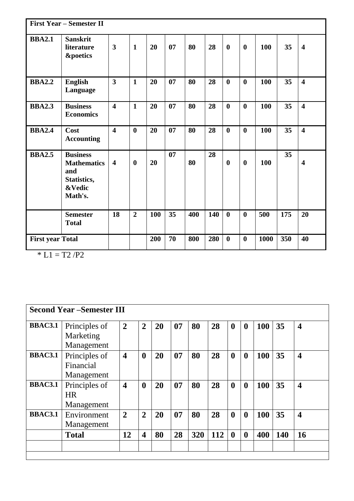| <b>First Year – Semester II</b> |                                                                                  |                         |                |     |    |     |     |                  |                  |      |     |                         |
|---------------------------------|----------------------------------------------------------------------------------|-------------------------|----------------|-----|----|-----|-----|------------------|------------------|------|-----|-------------------------|
| <b>BBA2.1</b>                   | <b>Sanskrit</b><br>literature<br><b>&amp;poetics</b>                             | $\mathbf{3}$            | $\mathbf{1}$   | 20  | 07 | 80  | 28  | $\boldsymbol{0}$ | $\boldsymbol{0}$ | 100  | 35  | $\overline{\mathbf{4}}$ |
| <b>BBA2.2</b>                   | <b>English</b><br>Language                                                       | $\overline{\mathbf{3}}$ | $\mathbf{1}$   | 20  | 07 | 80  | 28  | $\boldsymbol{0}$ | $\boldsymbol{0}$ | 100  | 35  | $\overline{\mathbf{4}}$ |
| <b>BBA2.3</b>                   | <b>Business</b><br><b>Economics</b>                                              | $\overline{\mathbf{4}}$ | $\mathbf{1}$   | 20  | 07 | 80  | 28  | $\boldsymbol{0}$ | $\boldsymbol{0}$ | 100  | 35  | $\overline{\mathbf{4}}$ |
| <b>BBA2.4</b>                   | Cost<br><b>Accounting</b>                                                        | $\overline{\mathbf{4}}$ | $\bf{0}$       | 20  | 07 | 80  | 28  | $\boldsymbol{0}$ | $\bf{0}$         | 100  | 35  | $\overline{\mathbf{4}}$ |
| <b>BBA2.5</b>                   | <b>Business</b><br><b>Mathematics</b><br>and<br>Statistics,<br>&Vedic<br>Math's. | $\overline{\mathbf{4}}$ | $\bf{0}$       | 20  | 07 | 80  | 28  | $\boldsymbol{0}$ | $\boldsymbol{0}$ | 100  | 35  | $\overline{\mathbf{4}}$ |
|                                 | <b>Semester</b><br><b>Total</b>                                                  | 18                      | $\overline{2}$ | 100 | 35 | 400 | 140 | $\bf{0}$         | $\boldsymbol{0}$ | 500  | 175 | 20                      |
| <b>First year Total</b>         |                                                                                  |                         |                | 200 | 70 | 800 | 280 | $\boldsymbol{0}$ | $\boldsymbol{0}$ | 1000 | 350 | 40                      |

 $* L1 = T2 / P2$ 

|                | <b>Second Year -Semester III</b>         |                         |                         |    |    |     |            |                  |                  |     |     |                         |
|----------------|------------------------------------------|-------------------------|-------------------------|----|----|-----|------------|------------------|------------------|-----|-----|-------------------------|
| <b>BBAC3.1</b> | Principles of<br>Marketing<br>Management | $\overline{2}$          | $\overline{2}$          | 20 | 07 | 80  | 28         | $\bf{0}$         | $\boldsymbol{0}$ | 100 | 35  | $\overline{\mathbf{4}}$ |
| <b>BBAC3.1</b> | Principles of<br>Financial<br>Management | $\overline{\mathbf{4}}$ | $\boldsymbol{0}$        | 20 | 07 | 80  | 28         | $\boldsymbol{0}$ | $\boldsymbol{0}$ | 100 | 35  | $\overline{\mathbf{4}}$ |
| <b>BBAC3.1</b> | Principles of<br><b>HR</b><br>Management | $\overline{\mathbf{4}}$ | $\boldsymbol{0}$        | 20 | 07 | 80  | 28         | $\boldsymbol{0}$ | $\boldsymbol{0}$ | 100 | 35  | $\overline{\mathbf{4}}$ |
| <b>BBAC3.1</b> | Environment<br>Management                | $\overline{2}$          | $\overline{2}$          | 20 | 07 | 80  | 28         | $\boldsymbol{0}$ | $\boldsymbol{0}$ | 100 | 35  | $\overline{\mathbf{4}}$ |
|                | <b>Total</b>                             | 12                      | $\overline{\mathbf{4}}$ | 80 | 28 | 320 | <b>112</b> | $\mathbf{0}$     | $\boldsymbol{0}$ | 400 | 140 | 16                      |
|                |                                          |                         |                         |    |    |     |            |                  |                  |     |     |                         |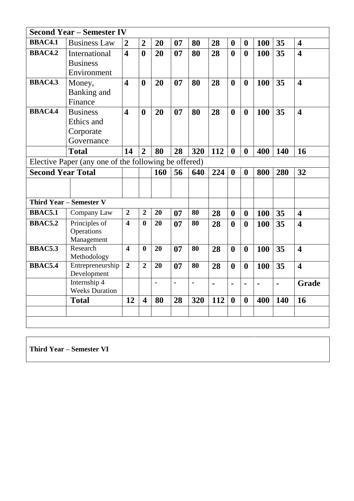|                          | <b>Second Year - Semester IV</b>                     |                         |                         |     |    |                |     |                  |                  |     |     |                         |
|--------------------------|------------------------------------------------------|-------------------------|-------------------------|-----|----|----------------|-----|------------------|------------------|-----|-----|-------------------------|
| <b>BBAC4.1</b>           | <b>Business Law</b>                                  | $\overline{2}$          | $\overline{2}$          | 20  | 07 | 80             | 28  | $\boldsymbol{0}$ | $\boldsymbol{0}$ | 100 | 35  | $\overline{\mathbf{4}}$ |
| <b>BBAC4.2</b>           | International                                        | $\overline{\mathbf{4}}$ | $\boldsymbol{0}$        | 20  | 07 | 80             | 28  | $\boldsymbol{0}$ | $\boldsymbol{0}$ | 100 | 35  | $\overline{\mathbf{4}}$ |
|                          | <b>Business</b>                                      |                         |                         |     |    |                |     |                  |                  |     |     |                         |
|                          | Environment                                          |                         |                         |     |    |                |     |                  |                  |     |     |                         |
| <b>BBAC4.3</b>           | Money,                                               | $\overline{\mathbf{4}}$ | $\boldsymbol{0}$        | 20  | 07 | 80             | 28  | $\boldsymbol{0}$ | $\boldsymbol{0}$ | 100 | 35  | $\overline{\mathbf{4}}$ |
|                          | Banking and                                          |                         |                         |     |    |                |     |                  |                  |     |     |                         |
|                          | Finance                                              |                         |                         |     |    |                |     |                  |                  |     |     |                         |
| <b>BBAC4.4</b>           | <b>Business</b>                                      | $\overline{\mathbf{4}}$ | $\boldsymbol{0}$        | 20  | 07 | 80             | 28  | $\boldsymbol{0}$ | $\boldsymbol{0}$ | 100 | 35  | $\overline{\mathbf{4}}$ |
|                          | Ethics and                                           |                         |                         |     |    |                |     |                  |                  |     |     |                         |
|                          | Corporate                                            |                         |                         |     |    |                |     |                  |                  |     |     |                         |
|                          | Governance                                           |                         |                         |     |    |                |     |                  |                  |     |     |                         |
|                          | <b>Total</b>                                         | 14                      | $\overline{2}$          | 80  | 28 | 320            | 112 | $\boldsymbol{0}$ | $\boldsymbol{0}$ | 400 | 140 | 16                      |
|                          | Elective Paper (any one of the following be offered) |                         |                         |     |    |                |     |                  |                  |     |     |                         |
| <b>Second Year Total</b> |                                                      |                         |                         | 160 | 56 | 640            | 224 | $\boldsymbol{0}$ | $\boldsymbol{0}$ | 800 | 280 | 32                      |
|                          |                                                      |                         |                         |     |    |                |     |                  |                  |     |     |                         |
|                          |                                                      |                         |                         |     |    |                |     |                  |                  |     |     |                         |
|                          | <b>Third Year - Semester V</b>                       |                         |                         |     |    |                |     |                  |                  |     |     |                         |
| <b>BBAC5.1</b>           | Company Law                                          | $\overline{2}$          | $\overline{2}$          | 20  | 07 | 80             | 28  | $\boldsymbol{0}$ | $\boldsymbol{0}$ | 100 | 35  | $\overline{\mathbf{4}}$ |
| <b>BBAC5.2</b>           | Principles of                                        | $\overline{\mathbf{4}}$ | $\bf{0}$                | 20  | 07 | 80             | 28  | $\boldsymbol{0}$ | $\boldsymbol{0}$ | 100 | 35  | $\overline{\mathbf{4}}$ |
|                          | Operations                                           |                         |                         |     |    |                |     |                  |                  |     |     |                         |
|                          | Management                                           |                         |                         |     |    |                |     |                  |                  |     |     |                         |
| <b>BBAC5.3</b>           | Research<br>Methodology                              | $\overline{\mathbf{4}}$ | $\bf{0}$                | 20  | 07 | 80             | 28  | $\boldsymbol{0}$ | $\boldsymbol{0}$ | 100 | 35  | $\overline{\mathbf{4}}$ |
| <b>BBAC5.4</b>           | Entrepreneurship<br>Development                      | $\overline{2}$          | $\overline{2}$          | 20  | 07 | 80             | 28  | $\boldsymbol{0}$ | $\boldsymbol{0}$ | 100 | 35  | $\overline{\mathbf{4}}$ |
|                          | Internship 4<br><b>Weeks Duration</b>                |                         |                         | ä,  | ä, | $\blacksquare$ | ä,  | $\blacksquare$   | $\blacksquare$   | ä,  | ä,  | <b>Grade</b>            |
|                          | <b>Total</b>                                         | 12                      | $\overline{\mathbf{4}}$ | 80  | 28 | 320            | 112 | $\boldsymbol{0}$ | $\boldsymbol{0}$ | 400 | 140 | 16                      |
|                          |                                                      |                         |                         |     |    |                |     |                  |                  |     |     |                         |
|                          |                                                      |                         |                         |     |    |                |     |                  |                  |     |     |                         |

**Third Year – Semester VI**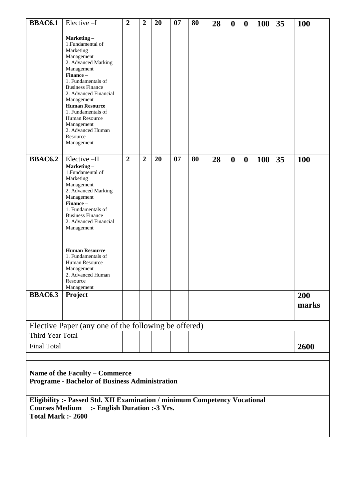| <b>BBAC6.1</b>                                                                                                                                                    | Elective-I                                                                                                                                                                                                                                                                                                                                       | $\overline{2}$ | $\overline{2}$ | 20 | 07 | 80 | 28 | $\boldsymbol{0}$ | $\boldsymbol{0}$ | <b>100</b> | 35 | <b>100</b>   |
|-------------------------------------------------------------------------------------------------------------------------------------------------------------------|--------------------------------------------------------------------------------------------------------------------------------------------------------------------------------------------------------------------------------------------------------------------------------------------------------------------------------------------------|----------------|----------------|----|----|----|----|------------------|------------------|------------|----|--------------|
|                                                                                                                                                                   | Marketing-<br>1. Fundamental of<br>Marketing<br>Management<br>2. Advanced Marking<br>Management<br>Finance-<br>1. Fundamentals of<br><b>Business Finance</b><br>2. Advanced Financial<br>Management<br><b>Human Resource</b><br>1. Fundamentals of<br>Human Resource<br>Management<br>2. Advanced Human<br>Resource<br>Management                |                |                |    |    |    |    |                  |                  |            |    |              |
| <b>BBAC6.2</b>                                                                                                                                                    | Elective-II<br>Marketing-<br>1. Fundamental of<br>Marketing<br>Management<br>2. Advanced Marking<br>Management<br>Finance-<br>1. Fundamentals of<br><b>Business Finance</b><br>2. Advanced Financial<br>Management<br><b>Human Resource</b><br>1. Fundamentals of<br>Human Resource<br>Management<br>2. Advanced Human<br>Resource<br>Management | $\overline{2}$ | $\overline{2}$ | 20 | 07 | 80 | 28 | $\boldsymbol{0}$ | $\boldsymbol{0}$ | 100        | 35 | <b>100</b>   |
| <b>BBAC6.3</b>                                                                                                                                                    | Project                                                                                                                                                                                                                                                                                                                                          |                |                |    |    |    |    |                  |                  |            |    | 200<br>marks |
|                                                                                                                                                                   |                                                                                                                                                                                                                                                                                                                                                  |                |                |    |    |    |    |                  |                  |            |    |              |
|                                                                                                                                                                   | Elective Paper (any one of the following be offered)                                                                                                                                                                                                                                                                                             |                |                |    |    |    |    |                  |                  |            |    |              |
| Third Year Total                                                                                                                                                  |                                                                                                                                                                                                                                                                                                                                                  |                |                |    |    |    |    |                  |                  |            |    |              |
| <b>Final Total</b>                                                                                                                                                |                                                                                                                                                                                                                                                                                                                                                  |                |                |    |    |    |    |                  |                  |            |    | 2600         |
|                                                                                                                                                                   |                                                                                                                                                                                                                                                                                                                                                  |                |                |    |    |    |    |                  |                  |            |    |              |
| Name of the Faculty - Commerce<br><b>Programe - Bachelor of Business Administration</b>                                                                           |                                                                                                                                                                                                                                                                                                                                                  |                |                |    |    |    |    |                  |                  |            |    |              |
| Eligibility :- Passed Std. XII Examination / minimum Competency Vocational<br>:- English Duration :- 3 Yrs.<br><b>Courses Medium</b><br><b>Total Mark :- 2600</b> |                                                                                                                                                                                                                                                                                                                                                  |                |                |    |    |    |    |                  |                  |            |    |              |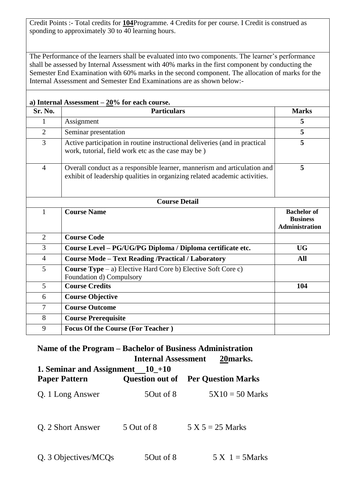Credit Points :- Total credits for **104**Programme. 4 Credits for per course. I Credit is construed as sponding to approximately 30 to 40 learning hours.

The Performance of the learners shall be evaluated into two components. The learner's performance shall be assessed by Internal Assessment with 40% marks in the first component by conducting the Semester End Examination with 60% marks in the second component. The allocation of marks for the Internal Assessment and Semester End Examinations are as shown below:-

|                | a) Internal Assessment $-20\%$ for each course.                                                                                                        |                                                                |
|----------------|--------------------------------------------------------------------------------------------------------------------------------------------------------|----------------------------------------------------------------|
| Sr. No.        | <b>Particulars</b>                                                                                                                                     | <b>Marks</b>                                                   |
| $\mathbf{1}$   | Assignment                                                                                                                                             | 5                                                              |
| $\overline{2}$ | Seminar presentation                                                                                                                                   | 5                                                              |
| 3              | Active participation in routine instructional deliveries (and in practical<br>work, tutorial, field work etc as the case may be)                       | 5                                                              |
| $\overline{4}$ | Overall conduct as a responsible learner, mannerism and articulation and<br>exhibit of leadership qualities in organizing related academic activities. | 5                                                              |
|                | <b>Course Detail</b>                                                                                                                                   |                                                                |
| 1              | <b>Course Name</b>                                                                                                                                     | <b>Bachelor of</b><br><b>Business</b><br><b>Administration</b> |
| $\overline{2}$ | <b>Course Code</b>                                                                                                                                     |                                                                |
| 3              | Course Level - PG/UG/PG Diploma / Diploma certificate etc.                                                                                             | <b>UG</b>                                                      |
| $\overline{4}$ | <b>Course Mode - Text Reading /Practical / Laboratory</b>                                                                                              | All                                                            |
| 5              | <b>Course Type</b> $-$ a) Elective Hard Core b) Elective Soft Core c)<br>Foundation d) Compulsory                                                      |                                                                |
| 5              | <b>Course Credits</b>                                                                                                                                  | 104                                                            |
| 6              | <b>Course Objective</b>                                                                                                                                |                                                                |
| 7              | <b>Course Outcome</b>                                                                                                                                  |                                                                |
| 8              | <b>Course Prerequisite</b>                                                                                                                             |                                                                |
| 9              | <b>Focus Of the Course (For Teacher)</b>                                                                                                               |                                                                |

## **Name of the Program – Bachelor of Business Administration Internal Assessment 20marks.**

| 1. Seminar and Assignment $10_{-+10}$<br><b>Paper Pattern</b> | <b>Ouestion out of</b> | <b>Per Question Marks</b> |
|---------------------------------------------------------------|------------------------|---------------------------|
| Q. 1 Long Answer                                              | 50ut of 8              | $5X10 = 50$ Marks         |
| Q. 2 Short Answer                                             | 5 Out of 8             | $5 X 5 = 25 Marks$        |
| Q. 3 Objectives/MCQs                                          | 50ut of 8              | $5 X 1 = 5 Marks$         |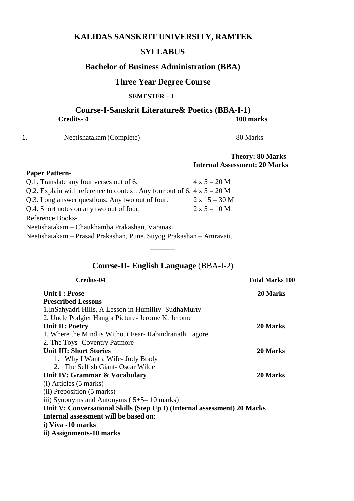## **KALIDAS SANSKRIT UNIVERSITY, RAMTEK**

## **SYLLABUS**

## **Bachelor of Business Administration (BBA)**

## **Three Year Degree Course**

### **SEMESTER – I**

## **Course-I-Sanskrit Literature& Poetics (BBA-I-1) Credits- 4 100 marks**

1. Neetishatakam (Complete) 80 Marks

### **Theory: 80 Marks Internal Assessment: 20 Marks**

#### **Paper Pattern-**

| Q.1. Translate any four verses out of 6.                                       | $4 \times 5 = 20 M$  |  |  |  |  |
|--------------------------------------------------------------------------------|----------------------|--|--|--|--|
| Q.2. Explain with reference to context. Any four out of 6. $4 \times 5 = 20$ M |                      |  |  |  |  |
| Q.3. Long answer questions. Any two out of four.                               | $2 \times 15 = 30$ M |  |  |  |  |
| Q.4. Short notes on any two out of four.                                       | $2 x 5 = 10 M$       |  |  |  |  |
| Reference Books-                                                               |                      |  |  |  |  |
| Neetishatakam – Chaukhamba Prakashan, Varanasi.                                |                      |  |  |  |  |
| Neetishatakam - Prasad Prakashan, Pune. Suyog Prakashan - Amravati.            |                      |  |  |  |  |

## **Course-II- English Language** (BBA-I-2)

 $\overline{\phantom{a}}$ 

| Credits-04                                                               | <b>Total Marks 100</b> |
|--------------------------------------------------------------------------|------------------------|
| Unit I : Prose                                                           | 20 Marks               |
| <b>Prescribed Lessons</b>                                                |                        |
| 1. InSahyadri Hills, A Lesson in Humility-SudhaMurty                     |                        |
| 2. Uncle Podgier Hang a Picture- Jerome K. Jerome                        |                        |
| <b>Unit II: Poetry</b>                                                   | 20 Marks               |
| 1. Where the Mind is Without Fear-Rabindranath Tagore                    |                        |
| 2. The Toys- Coventry Patmore                                            |                        |
| <b>Unit III: Short Stories</b>                                           | 20 Marks               |
| 1. Why I Want a Wife- Judy Brady                                         |                        |
| 2. The Selfish Giant-Oscar Wilde                                         |                        |
| Unit IV: Grammar & Vocabulary                                            | 20 Marks               |
| (i) Articles (5 marks)                                                   |                        |
| (ii) Preposition (5 marks)                                               |                        |
| iii) Synonyms and Antonyms $(5+5=10 \text{ marks})$                      |                        |
| Unit V: Conversational Skills (Step Up I) (Internal assessment) 20 Marks |                        |
| Internal assessment will be based on:                                    |                        |
| i) Viva -10 marks                                                        |                        |
| ii) Assignments-10 marks                                                 |                        |
|                                                                          |                        |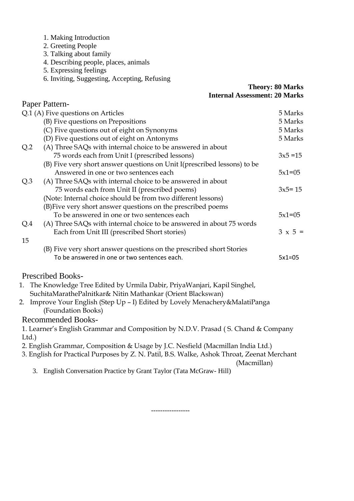- 1. Making Introduction
- 2. Greeting People
- 3. Talking about family
- 4. Describing people, places, animals
- 5. Expressing feelings
- 6. Inviting, Suggesting, Accepting, Refusing

### **Theory: 80 Marks Internal Assessment: 20 Marks**

|                 | Paper Pattern-                                                                              |                |
|-----------------|---------------------------------------------------------------------------------------------|----------------|
|                 | Q.1 (A) Five questions on Articles                                                          | 5 Marks        |
|                 | (B) Five questions on Prepositions                                                          | 5 Marks        |
|                 | (C) Five questions out of eight on Synonyms                                                 | 5 Marks        |
|                 | (D) Five questions out of eight on Antonyms                                                 | 5 Marks        |
| Q <sub>2</sub>  | (A) Three SAQs with internal choice to be answered in about                                 |                |
|                 | 75 words each from Unit I (prescribed lessons)                                              | $3x5 = 15$     |
|                 | (B) Five very short answer questions on Unit I(prescribed lessons) to be                    |                |
|                 | Answered in one or two sentences each                                                       | $5x1=05$       |
| Q <sub>.3</sub> | (A) Three SAQs with internal choice to be answered in about                                 |                |
|                 | 75 words each from Unit II (prescribed poems)                                               | $3x5 = 15$     |
|                 | (Note: Internal choice should be from two different lessons)                                |                |
|                 | (B) Five very short answer questions on the prescribed poems                                |                |
|                 | To be answered in one or two sentences each                                                 | $5x1=05$       |
| Q.4             | (A) Three SAQs with internal choice to be answered in about 75 words                        |                |
|                 | Each from Unit III (prescribed Short stories)                                               | $3 \times 5 =$ |
| 15              |                                                                                             |                |
|                 | (B) Five very short answer questions on the prescribed short Stories                        |                |
|                 | To be answered in one or two sentences each.                                                | $5x1=05$       |
|                 | <b>Prescribed Books-</b>                                                                    |                |
|                 | 1. The Knowledge Tree Edited by Urmila Dabir, PriyaWanjari, Kapil Singhel,                  |                |
|                 | SuchitaMarathePalnitkar& Nitin Mathankar (Orient Blackswan)                                 |                |
|                 | 2. Improve Your English (Step Up - I) Edited by Lovely Menachery&MalatiPanga                |                |
|                 | (Foundation Books)                                                                          |                |
|                 | <b>Recommended Books-</b>                                                                   |                |
|                 | 1. Learner's English Grammar and Composition by N.D.V. Prasad (S. Chand & Company           |                |
| Ltd.)           |                                                                                             |                |
|                 | 2. English Grammar, Composition & Usage by J.C. Nesfield (Macmillan India Ltd.)             |                |
|                 | 3. English for Practical Purposes by Z. N. Patil, B.S. Walke, Ashok Throat, Zeenat Merchant |                |
|                 | (Macmillan)                                                                                 |                |

3. English Conversation Practice by Grant Taylor (Tata McGraw- Hill)

-----------------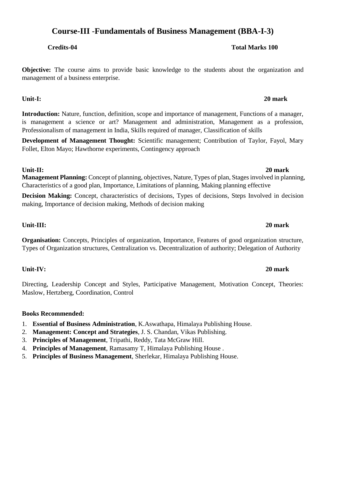## **Course-III** -**Fundamentals of Business Management (BBA-I-3)**

**Objective:** The course aims to provide basic knowledge to the students about the organization and management of a business enterprise.

**Introduction:** Nature, function, definition, scope and importance of management, Functions of a manager, is management a science or art? Management and administration, Management as a profession, Professionalism of management in India, Skills required of manager, Classification of skills

**Unit-I: 20 mark**

**Development of Management Thought:** Scientific management; Contribution of Taylor, Fayol, Mary Follet, Elton Mayo; Hawthorne experiments, Contingency approach

**Management Planning:** Concept of planning, objectives, Nature, Types of plan, Stages involved in planning, Characteristics of a good plan, Importance, Limitations of planning, Making planning effective

**Decision Making:** Concept, characteristics of decisions, Types of decisions, Steps Involved in decision making, Importance of decision making, Methods of decision making

### **Unit-III: 20 mark**

**Organisation:** Concepts, Principles of organization, Importance, Features of good organization structure, Types of Organization structures, Centralization vs. Decentralization of authority; Delegation of Authority

**Unit-IV: 20 mark**

Directing, Leadership Concept and Styles, Participative Management, Motivation Concept, Theories: Maslow, Hertzberg, Coordination, Control

#### **Books Recommended:**

- 1. **Essential of Business Administration**, K.Aswathapa, Himalaya Publishing House.
- 2. **Management: Concept and Strategies**, J. S. Chandan, Vikas Publishing.
- 3. **Principles of Management**, Tripathi, Reddy, Tata McGraw Hill.
- 4. **Principles of Management**, Ramasamy T, Himalaya Publishing House .
- 5. **Principles of Business Management**, Sherlekar, Himalaya Publishing House.

## **Unit-II: 20 mark**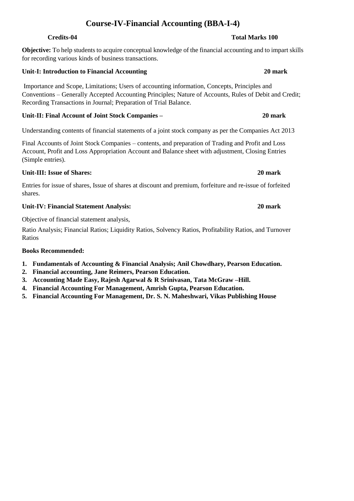## **Course-IV-Financial Accounting (BBA-I-4)**

**Objective:** To help students to acquire conceptual knowledge of the financial accounting and to impart skills for recording various kinds of business transactions.

## **Unit-I: Introduction to Financial Accounting 20 mark**

Importance and Scope, Limitations; Users of accounting information, Concepts, Principles and Conventions – Generally Accepted Accounting Principles; Nature of Accounts, Rules of Debit and Credit; Recording Transactions in Journal; Preparation of Trial Balance.

## **Unit-II: Final Account of Joint Stock Companies – 20 mark**

Understanding contents of financial statements of a joint stock company as per the Companies Act 2013

Final Accounts of Joint Stock Companies – contents, and preparation of Trading and Profit and Loss Account, Profit and Loss Appropriation Account and Balance sheet with adjustment, Closing Entries (Simple entries).

## **Unit-III: Issue of Shares: 20 mark**

Entries for issue of shares, Issue of shares at discount and premium, forfeiture and re-issue of forfeited shares.

## **Unit-IV: Financial Statement Analysis: 20 mark**

Objective of financial statement analysis,

Ratio Analysis; Financial Ratios; Liquidity Ratios, Solvency Ratios, Profitability Ratios, and Turnover Ratios

## **Books Recommended:**

- **1. Fundamentals of Accounting & Financial Analysis; Anil Chowdhary, Pearson Education.**
- **2. Financial accounting, Jane Reimers, Pearson Education.**
- **3. Accounting Made Easy, Rajesh Agarwal & R Srinivasan, Tata McGraw –Hill.**
- **4. Financial Accounting For Management, Amrish Gupta, Pearson Education.**
- **5. Financial Accounting For Management, Dr. S. N. Maheshwari, Vikas Publishing House**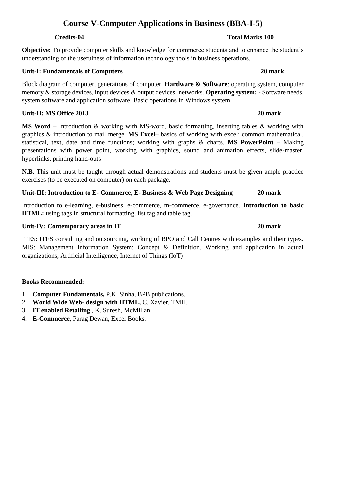## **Course V-Computer Applications in Business (BBA-I-5)**

**Objective:** To provide computer skills and knowledge for commerce students and to enhance the student's understanding of the usefulness of information technology tools in business operations.

### **Unit-I: Fundamentals of Computers 20 mark**

Block diagram of computer, generations of computer. **Hardware & Software**: operating system, computer memory & storage devices, input devices & output devices, networks. **Operating system: -** Software needs, system software and application software, Basic operations in Windows system

### **Unit-II: MS Office 2013 20 mark**

**MS Word –** Introduction & working with MS-word, basic formatting, inserting tables & working with graphics & introduction to mail merge. **MS Excel–** basics of working with excel; common mathematical, statistical, text, date and time functions; working with graphs & charts. **MS PowerPoint –** Making presentations with power point, working with graphics, sound and animation effects, slide-master, hyperlinks, printing hand-outs

**N.B.** This unit must be taught through actual demonstrations and students must be given ample practice exercises (to be executed on computer) on each package.

## **Unit-III: Introduction to E- Commerce, E- Business & Web Page Designing 20 mark**

Introduction to e-learning, e-business, e-commerce, m-commerce, e-governance. **Introduction to basic HTML:** using tags in structural formatting, list tag and table tag.

### **Unit-IV: Contemporary areas in IT 20 mark**

ITES: ITES consulting and outsourcing, working of BPO and Call Centres with examples and their types. MIS: Management Information System: Concept & Definition. Working and application in actual organizations, Artificial Intelligence, Internet of Things (IoT)

## **Books Recommended:**

- 1. **Computer Fundamentals,** P.K. Sinha, BPB publications.
- 2. **World Wide Web- design with HTML,** C. Xavier, TMH.
- 3. **IT enabled Retailing** , K. Suresh, McMillan.
- 4. **E-Commerce**, Parag Dewan, Excel Books.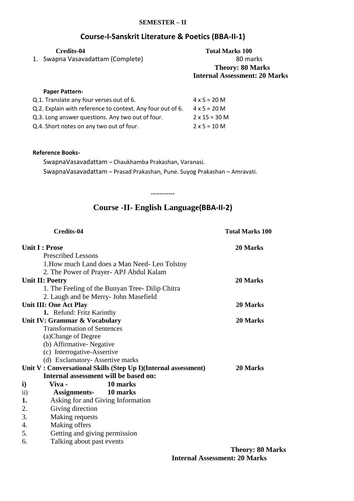#### **SEMESTER – II**

## **Course-I-Sanskrit Literature & Poetics (BBA-II-1)**

| Credits-04<br>Swapna Vasavadattam (Complete)<br>1.         | <b>Total Marks 100</b><br>80 marks<br><b>Theory: 80 Marks</b><br><b>Internal Assessment: 20 Marks</b> |
|------------------------------------------------------------|-------------------------------------------------------------------------------------------------------|
| <b>Paper Pattern-</b>                                      |                                                                                                       |
| Q.1. Translate any four verses out of 6.                   | $4 \times 5 = 20 M$                                                                                   |
| Q.2. Explain with reference to context. Any four out of 6. | $4 \times 5 = 20 M$                                                                                   |
| Q.3. Long answer questions. Any two out of four.           | $2 \times 15 = 30$ M                                                                                  |
| Q.4. Short notes on any two out of four.                   | $2 \times 5 = 10 M$                                                                                   |

#### **Reference Books-**

SwapnaVasavadattam – Chaukhamba Prakashan, Varanasi. SwapnaVasavadattam – Prasad Prakashan, Pune. Suyog Prakashan – Amravati.

**-----------**

## **Course -II- English Language(BBA-II-2)**

| <b>Credits-04</b>             |                                                                | <b>Total Marks 100</b>  |  |
|-------------------------------|----------------------------------------------------------------|-------------------------|--|
| <b>Unit I: Prose</b>          |                                                                | 20 Marks                |  |
| <b>Prescribed Lessons</b>     |                                                                |                         |  |
|                               | 1. How much Land does a Man Need-Leo Tolstoy                   |                         |  |
|                               | 2. The Power of Prayer- APJ Abdul Kalam                        |                         |  |
| Unit II: Poetry               |                                                                | 20 Marks                |  |
|                               | 1. The Feeling of the Bunyan Tree-Dilip Chitra                 |                         |  |
|                               | 2. Laugh and be Merry- John Masefield                          |                         |  |
| Unit III: One Act Play        |                                                                | 20 Marks                |  |
| 1. Refund: Fritz Karinthy     |                                                                |                         |  |
| Unit IV: Grammar & Vocabulary |                                                                | 20 Marks                |  |
|                               | <b>Transformation of Sentences</b>                             |                         |  |
| (a)Change of Degree           |                                                                |                         |  |
| (b) Affirmative-Negative      |                                                                |                         |  |
|                               | (c) Interrogative-Assertive                                    |                         |  |
|                               | (d) Exclamatory-Assertive marks                                |                         |  |
|                               | Unit V: Conversational Skills (Step Up I)(Internal assessment) | 20 Marks                |  |
|                               | Internal assessment will be based on:                          |                         |  |
| $\mathbf{i}$<br>Viva -        | 10 marks                                                       |                         |  |
| $\mathbf{ii}$                 | <b>Assignments-</b> 10 marks                                   |                         |  |
| 1.                            | Asking for and Giving Information                              |                         |  |
| Giving direction<br>2.        |                                                                |                         |  |
| 3.<br>Making requests         |                                                                |                         |  |
| Making offers<br>4.           |                                                                |                         |  |
| 5.                            | Getting and giving permission                                  |                         |  |
| 6.                            | Talking about past events                                      |                         |  |
|                               |                                                                | <b>Theory: 80 Marks</b> |  |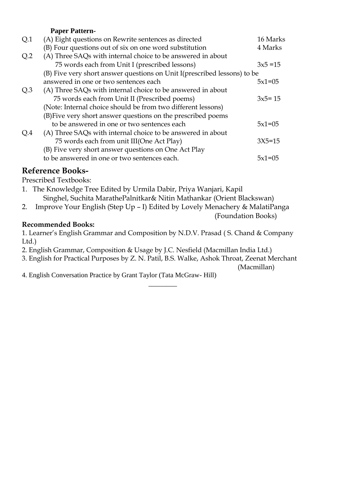### **Paper Pattern-**

| Q.1             | (A) Eight questions on Rewrite sentences as directed                      | 16 Marks   |
|-----------------|---------------------------------------------------------------------------|------------|
|                 | (B) Four questions out of six on one word substitution                    | 4 Marks    |
| Q <sub>2</sub>  | (A) Three SAQs with internal choice to be answered in about               |            |
|                 | 75 words each from Unit I (prescribed lessons)                            | $3x5 = 15$ |
|                 | (B) Five very short answer questions on Unit I (prescribed lessons) to be |            |
|                 | answered in one or two sentences each                                     | $5x1=05$   |
| Q <sub>.3</sub> | (A) Three SAQs with internal choice to be answered in about               |            |
|                 | 75 words each from Unit II (Prescribed poems)                             | $3x5 = 15$ |
|                 | (Note: Internal choice should be from two different lessons)              |            |
|                 | (B) Five very short answer questions on the prescribed poems              |            |
|                 | to be answered in one or two sentences each                               | $5x1=05$   |
| Q.4             | (A) Three SAQs with internal choice to be answered in about               |            |
|                 | 75 words each from unit III(One Act Play)                                 | $3X5 = 15$ |
|                 | (B) Five very short answer questions on One Act Play                      |            |
|                 | to be answered in one or two sentences each.                              | $5x1=05$   |

## **Reference Books-**

Prescribed Textbooks:

- 1. The Knowledge Tree Edited by Urmila Dabir, Priya Wanjari, Kapil Singhel, Suchita MarathePalnitkar& Nitin Mathankar (Orient Blackswan)
- 2. Improve Your English (Step Up I) Edited by Lovely Menachery & MalatiPanga

(Foundation Books)

### **Recommended Books:**

1. Learner's English Grammar and Composition by N.D.V. Prasad ( S. Chand & Company Ltd.)

- 2. English Grammar, Composition & Usage by J.C. Nesfield (Macmillan India Ltd.)
- 3. English for Practical Purposes by Z. N. Patil, B.S. Walke, Ashok Throat, Zeenat Merchant

 $\overline{\phantom{a}}$  ,  $\overline{\phantom{a}}$  ,  $\overline{\phantom{a}}$  ,  $\overline{\phantom{a}}$  ,  $\overline{\phantom{a}}$  ,  $\overline{\phantom{a}}$  ,  $\overline{\phantom{a}}$  ,  $\overline{\phantom{a}}$  ,  $\overline{\phantom{a}}$  ,  $\overline{\phantom{a}}$  ,  $\overline{\phantom{a}}$  ,  $\overline{\phantom{a}}$  ,  $\overline{\phantom{a}}$  ,  $\overline{\phantom{a}}$  ,  $\overline{\phantom{a}}$  ,  $\overline{\phantom{a}}$ 

(Macmillan)

4. English Conversation Practice by Grant Taylor (Tata McGraw- Hill)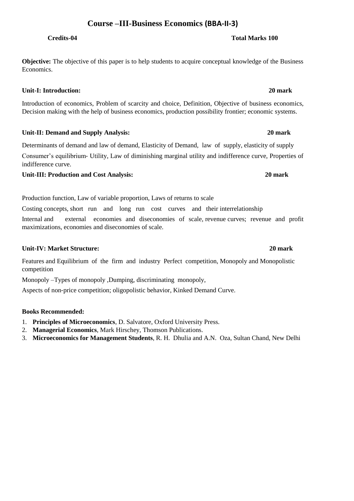## **Course –III-Business Economics (BBA-II-3)**

**Objective:** The objective of this paper is to help students to acquire conceptual knowledge of the Business Economics.

**Unit-I: Introduction: 20 mark** 

Introduction of economics, Problem of scarcity and choice, Definition, Objective of business economics, Decision making with the help of business economics, production possibility frontier; economic systems.

**Unit-II: Demand and Supply Analysis: 20 mark** 

Determinants of demand and law of demand, Elasticity of Demand, law of supply, elasticity of supply Consumer's equilibrium‐ Utility, Law of diminishing marginal utility and indifference curve, Properties of indifference curve.

## **Unit-III: Production and Cost Analysis: 20 mark**

Production function, Law of variable proportion, Laws of returns to scale

Costing concepts, short run and long run cost curves and their interrelationship Internal and external economies and diseconomies of scale, revenue curves; revenue and profit maximizations, economies and diseconomies of scale.

## **Unit-IV: Market Structure: 20 mark**

Features and Equilibrium of the firm and industry Perfect competition, Monopoly and Monopolistic competition

Monopoly –Types of monopoly ,Dumping, discriminating monopoly,

Aspects of non‐price competition; oligopolistic behavior, Kinked Demand Curve.

## **Books Recommended:**

- 1. **Principles of Microeconomics**, D. Salvatore, Oxford University Press.
- 2. **Managerial Economics**, Mark Hirschey, Thomson Publications.
- 3. **Microeconomics for Management Students**, R. H. Dhulia and A.N. Oza, Sultan Chand, New Delhi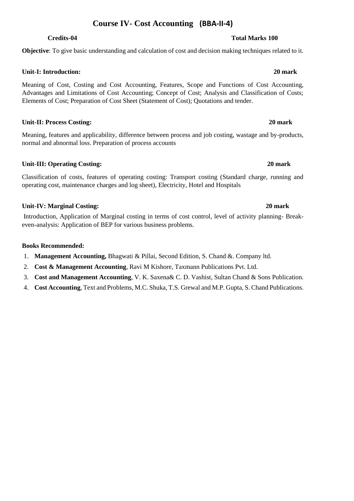## **Course IV- Cost Accounting (BBA-II-4)**

## **Objective**: To give basic understanding and calculation of cost and decision making techniques related to it.

### **Unit-I: Introduction: 20 mark**

Meaning of Cost, Costing and Cost Accounting, Features, Scope and Functions of Cost Accounting, Advantages and Limitations of Cost Accounting; Concept of Cost; Analysis and Classification of Costs; Elements of Cost; Preparation of Cost Sheet (Statement of Cost); Quotations and tender.

#### **Unit-II: Process Costing: 20 mark**

Meaning, features and applicability, difference between process and job costing, wastage and by-products, normal and abnormal loss. Preparation of process accounts

### **Unit-III: Operating Costing: 20 mark**

Classification of costs, features of operating costing: Transport costing (Standard charge, running and operating cost, maintenance charges and log sheet), Electricity, Hotel and Hospitals

### **Unit-IV: Marginal Costing: 20 mark**

Introduction, Application of Marginal costing in terms of cost control, level of activity planning- Breakeven-analysis: Application of BEP for various business problems.

#### **Books Recommended:**

- 1. **Management Accounting,** Bhagwati & Pillai, Second Edition, S. Chand &. Company ltd.
- 2. **Cost & Management Accounting**, Ravi M Kishore, Taxmann Publications Pvt. Ltd.
- 3. **Cost and Management Accounting**, V. K. Saxena& C. D. Vashist, Sultan Chand & Sons Publication.
- 4. **Cost Accounting**, Text and Problems, M.C. Shuka, T.S. Grewal and M.P. Gupta, S. Chand Publications.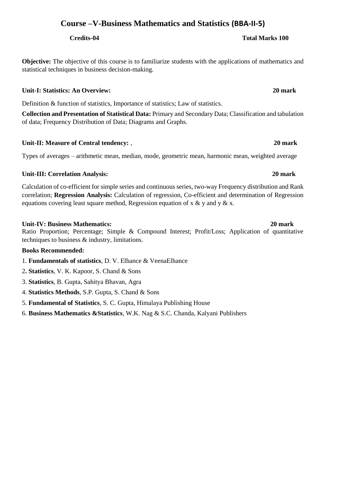## **Course –V-Business Mathematics and Statistics (BBA-II-5)**

**Objective:** The objective of this course is to familiarize students with the applications of mathematics and statistical techniques in business decision-making.

## **Unit-I: Statistics: An Overview: 20 mark**

Definition & function of statistics, Importance of statistics; Law of statistics.

**Collection and Presentation of Statistical Data:** Primary and Secondary Data; Classification and tabulation of data; Frequency Distribution of Data; Diagrams and Graphs.

## **Unit-II: Measure of Central tendency:** , **20 mark**

Types of averages – arithmetic mean, median, mode, geometric mean, harmonic mean, weighted average

## **Unit-III: Correlation Analysis: 20 mark**

Calculation of co-efficient for simple series and continuous series, two-way Frequency distribution and Rank correlation; **Regression Analysis:** Calculation of regression, Co-efficient and determination of Regression equations covering least square method, Regression equation of x & y and y  $\&$  x.

## **Unit-IV: Business Mathematics: 20 mark**

Ratio Proportion; Percentage; Simple & Compound Interest; Profit/Loss; Application of quantitative techniques to business & industry, limitations.

## **Books Recommended:**

1. **Fundamentals of statistics**, D. V. Elhance & VeenaElhance

- 2**. Statistics**, V. K. Kapoor, S. Chand & Sons
- 3. **Statistics**, B. Gupta, Sahitya Bhavan, Agra
- 4. **Statistics Methods**, S.P. Gupta, S. Chand & Sons
- 5. **Fundamental of Statistics**, S. C. Gupta, Himalaya Publishing House
- 6. **Business Mathematics &Statistics**, W.K. Nag & S.C. Chanda, Kalyani Publishers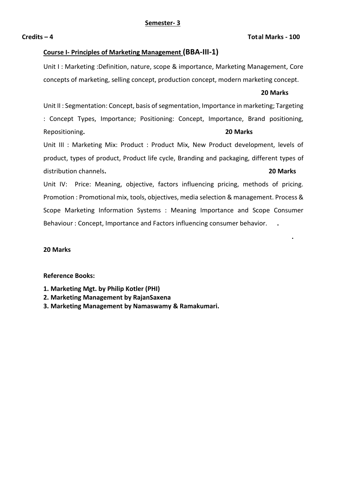#### **Credits – 4 Total Marks - 100**

### **Course I- Principles of Marketing Management (BBA-III-1)**

Unit I : Marketing :Definition, nature, scope & importance, Marketing Management, Core concepts of marketing, selling concept, production concept, modern marketing concept.

#### **20 Marks**

Unit II : Segmentation: Concept, basis of segmentation, Importance in marketing; Targeting : Concept Types, Importance; Positioning: Concept, Importance, Brand positioning, Repositioning**. 20 Marks**

Unit III : Marketing Mix: Product : Product Mix, New Product development, levels of product, types of product, Product life cycle, Branding and packaging, different types of distribution channels**. 20 Marks**

Unit IV: Price: Meaning, objective, factors influencing pricing, methods of pricing. Promotion : Promotional mix, tools, objectives, media selection & management. Process & Scope Marketing Information Systems : Meaning Importance and Scope Consumer Behaviour : Concept, Importance and Factors influencing consumer behavior. **.** 

 **.**   $\mathbf{r} = \mathbf{r} \cdot \mathbf{r}$  ,  $\mathbf{r} = \mathbf{r} \cdot \mathbf{r}$  ,  $\mathbf{r} = \mathbf{r} \cdot \mathbf{r}$  ,  $\mathbf{r} = \mathbf{r} \cdot \mathbf{r}$  ,  $\mathbf{r} = \mathbf{r} \cdot \mathbf{r}$  ,  $\mathbf{r} = \mathbf{r} \cdot \mathbf{r}$  ,  $\mathbf{r} = \mathbf{r} \cdot \mathbf{r}$  ,  $\mathbf{r} = \mathbf{r} \cdot \mathbf{r}$  ,  $\mathbf{r} =$ 

#### **20 Marks**

#### **Reference Books:**

- **1. Marketing Mgt. by Philip Kotler (PHI)**
- **2. Marketing Management by RajanSaxena**
- **3. Marketing Management by Namaswamy & Ramakumari.**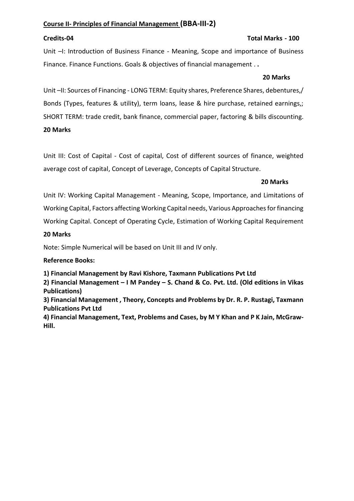### **Course II- Principles of Financial Management (BBA-III-2)**

### **Credits-04 Total Marks - 100**

Unit –I: Introduction of Business Finance - Meaning, Scope and importance of Business Finance. Finance Functions. Goals & objectives of financial management . **.** 

#### **20 Marks**

Unit –II: Sources of Financing - LONG TERM: Equity shares, Preference Shares, debentures,/ Bonds (Types, features & utility), term loans, lease & hire purchase, retained earnings,; SHORT TERM: trade credit, bank finance, commercial paper, factoring & bills discounting. **20 Marks**

Unit III: Cost of Capital - Cost of capital, Cost of different sources of finance, weighted average cost of capital, Concept of Leverage, Concepts of Capital Structure.

### **20 Marks**

Unit IV: Working Capital Management - Meaning, Scope, Importance, and Limitations of Working Capital, Factors affecting Working Capital needs, Various Approaches for financing

Working Capital. Concept of Operating Cycle, Estimation of Working Capital Requirement

#### **20 Marks**

Note: Simple Numerical will be based on Unit III and IV only.

#### **Reference Books:**

**1) Financial Management by Ravi Kishore, Taxmann Publications Pvt Ltd**

**2) Financial Management – I M Pandey – S. Chand & Co. Pvt. Ltd. (Old editions in Vikas Publications)**

**3) Financial Management , Theory, Concepts and Problems by Dr. R. P. Rustagi, Taxmann Publications Pvt Ltd**

**4) Financial Management, Text, Problems and Cases, by M Y Khan and P K Jain, McGraw-Hill.**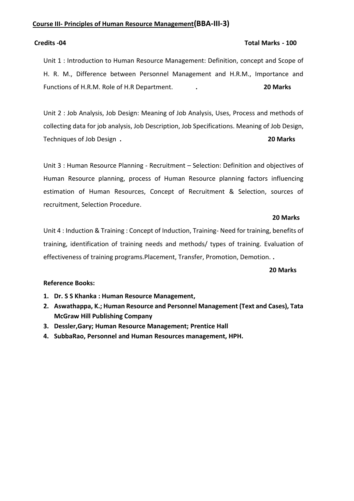### **Course III- Principles of Human Resource Management(BBA-III-3)**

#### **Credits -04 Total Marks - 100**

Unit 1 : Introduction to Human Resource Management: Definition, concept and Scope of H. R. M., Difference between Personnel Management and H.R.M., Importance and Functions of H.R.M. Role of H.R Department. **. 20 Marks** 

Unit 2 : Job Analysis, Job Design: Meaning of Job Analysis, Uses, Process and methods of collecting data for job analysis, Job Description, Job Specifications. Meaning of Job Design, Techniques of Job Design **. 20 Marks** 

Unit 3 : Human Resource Planning - Recruitment – Selection: Definition and objectives of Human Resource planning, process of Human Resource planning factors influencing estimation of Human Resources, Concept of Recruitment & Selection, sources of recruitment, Selection Procedure.

#### **20 Marks**

Unit 4 : Induction & Training : Concept of Induction, Training- Need for training, benefits of training, identification of training needs and methods/ types of training. Evaluation of effectiveness of training programs.Placement, Transfer, Promotion, Demotion. **.** 

 **20 Marks** 

### **Reference Books:**

- **1. Dr. S S Khanka : Human Resource Management,**
- **2. Aswathappa, K.; Human Resource and Personnel Management (Text and Cases), Tata McGraw Hill Publishing Company**
- **3. Dessler,Gary; Human Resource Management; Prentice Hall**
- **4. SubbaRao, Personnel and Human Resources management, HPH.**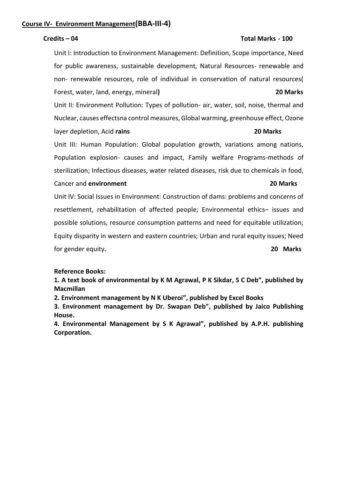### **Course IV- Environment Management(BBA-III-4)**

#### **Credits – 04 Total Marks - 100**

Unit I: Introduction to Environment Management: Definition, Scope importance, Need for public awareness, sustainable development, Natural Resources- renewable and non- renewable resources, role of individual in conservation of natural resources( Forest, water, land, energy, mineral**) 20 Marks** Unit II: Environment Pollution: Types of pollution- air, water, soil, noise, thermal and

Nuclear, causes effectsna control measures, Global warming, greenhouse effect, Ozone layer depletion, Acid **rains 20 Marks**

Unit III: Human Population: Global population growth, variations among nations, Population explosion- causes and impact, Family welfare Programs-methods of sterilization; Infectious diseases, water related diseases, risk due to chemicals in food,

#### Cancer and **environment 20 Marks**

Unit IV: Social Issues in Environment: Construction of dams: problems and concerns of resettlement, rehabilitation of affected people; Environmental ethics– issues and possible solutions, resource consumption patterns and need for equitable utilization; Equity disparity in western and eastern countries; Urban and rural equity issues; Need for gender equity**. 20 Marks**

#### **Reference Books:**

**1. A text book of environmental by K M Agrawal, P K Sikdar, S C Deb", published by Macmillan**

**2. Environment management by N K Uberoi", published by Excel Books**

**3. Environment management by Dr. Swapan Deb", published by Jaico Publishing House.**

**4. Environmental Management by S K Agrawal", published by A.P.H. publishing Corporation.**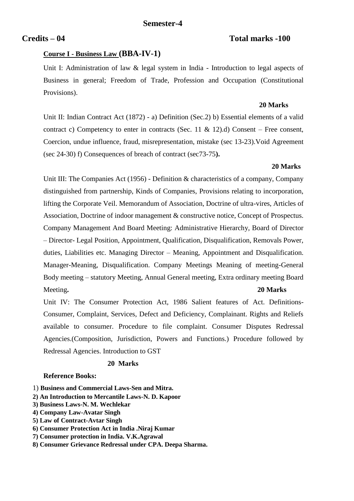### **Credits – 04 Total marks -100**

### **Course I - Business Law (BBA-IV-1)**

Unit I: Administration of law & legal system in India - Introduction to legal aspects of Business in general; Freedom of Trade, Profession and Occupation (Constitutional Provisions).

#### **20 Marks**

Unit II: Indian Contract Act (1872) - a) Definition (Sec.2) b) Essential elements of a valid contract c) Competency to enter in contracts (Sec. 11 & 12).d) Consent – Free consent, Coercion, undue influence, fraud, misrepresentation, mistake (sec 13-23).Void Agreement (sec 24-30) f) Consequences of breach of contract (sec73-75**).** 

#### **20 Marks**

Unit III: The Companies Act (1956) - Definition & characteristics of a company, Company distinguished from partnership, Kinds of Companies, Provisions relating to incorporation, lifting the Corporate Veil. Memorandum of Association, Doctrine of ultra-vires, Articles of Association, Doctrine of indoor management & constructive notice, Concept of Prospectus. Company Management And Board Meeting: Administrative Hierarchy, Board of Director – Director- Legal Position, Appointment, Qualification, Disqualification, Removals Power, duties, Liabilities etc. Managing Director – Meaning, Appointment and Disqualification. Manager-Meaning, Disqualification. Company Meetings Meaning of meeting-General Body meeting – statutory Meeting, Annual General meeting, Extra ordinary meeting Board Meeting**. 20 Marks**

Unit IV: The Consumer Protection Act, 1986 Salient features of Act. Definitions-Consumer, Complaint, Services, Defect and Deficiency, Complainant. Rights and Reliefs available to consumer. Procedure to file complaint. Consumer Disputes Redressal Agencies.(Composition, Jurisdiction, Powers and Functions.) Procedure followed by Redressal Agencies. Introduction to GST

#### **20 Marks**

#### **Reference Books:**

- 1) **Business and Commercial Laws-Sen and Mitra.**
- **2) An Introduction to Mercantile Laws-N. D. Kapoor**
- **3) Business Laws-N. M. Wechlekar**
- **4) Company Law-Avatar Singh**
- **5) Law of Contract-Avtar Singh**
- **6) Consumer Protection Act in India .Niraj Kumar**
- **7) Consumer protection in India. V.K.Agrawal**
- **8) Consumer Grievance Redressal under CPA. Deepa Sharma.**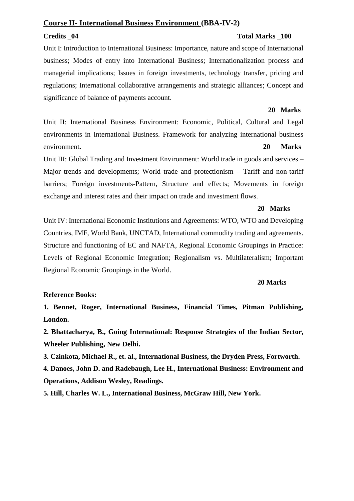### **Course II- International Business Environment (BBA-IV-2)**

### **Credits \_04 Total Marks \_100**

Unit I: Introduction to International Business: Importance, nature and scope of International business; Modes of entry into International Business; Internationalization process and managerial implications; Issues in foreign investments, technology transfer, pricing and regulations; International collaborative arrangements and strategic alliances; Concept and significance of balance of payments account.

#### **20 Marks**

Unit II: International Business Environment: Economic, Political, Cultural and Legal environments in International Business. Framework for analyzing international business environment**. 20 Marks**

Unit III: Global Trading and Investment Environment: World trade in goods and services – Major trends and developments; World trade and protectionism – Tariff and non-tariff barriers; Foreign investments-Pattern, Structure and effects; Movements in foreign exchange and interest rates and their impact on trade and investment flows.

#### **20 Marks**

Unit IV: International Economic Institutions and Agreements: WTO, WTO and Developing Countries, IMF, World Bank, UNCTAD, International commodity trading and agreements. Structure and functioning of EC and NAFTA, Regional Economic Groupings in Practice: Levels of Regional Economic Integration; Regionalism vs. Multilateralism; Important Regional Economic Groupings in the World.

#### **20 Marks**

#### **Reference Books:**

**1. Bennet, Roger, International Business, Financial Times, Pitman Publishing, London.**

**2. Bhattacharya, B., Going International: Response Strategies of the Indian Sector, Wheeler Publishing, New Delhi.**

**3. Czinkota, Michael R., et. al., International Business, the Dryden Press, Fortworth.**

**4. Danoes, John D. and Radebaugh, Lee H., International Business: Environment and Operations, Addison Wesley, Readings.**

**5. Hill, Charles W. L., International Business, McGraw Hill, New York.**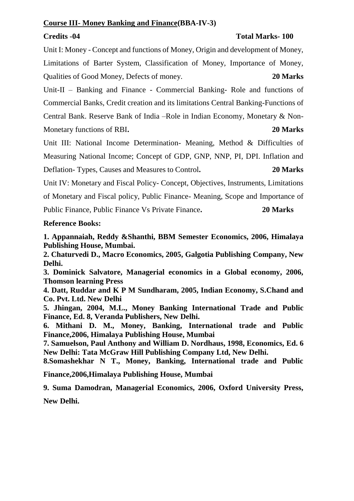### **Credits -04 Total Marks- 100**

Unit I: Money - Concept and functions of Money, Origin and development of Money, Limitations of Barter System, Classification of Money, Importance of Money, Qualities of Good Money, Defects of money. **20 Marks** 

Unit-II – Banking and Finance - Commercial Banking- Role and functions of Commercial Banks, Credit creation and its limitations Central Banking-Functions of Central Bank. Reserve Bank of India –Role in Indian Economy, Monetary & Non-Monetary functions of RBI**. 20 Marks**

Unit III: National Income Determination- Meaning, Method & Difficulties of Measuring National Income; Concept of GDP, GNP, NNP, PI, DPI. Inflation and Deflation- Types, Causes and Measures to Control**. 20 Marks**

Unit IV: Monetary and Fiscal Policy- Concept, Objectives, Instruments, Limitations

of Monetary and Fiscal policy, Public Finance- Meaning, Scope and Importance of

Public Finance, Public Finance Vs Private Finance**. 20 Marks**

## **Reference Books:**

**1. Appannaiah, Reddy &Shanthi, BBM Semester Economics, 2006, Himalaya Publishing House, Mumbai.**

**2. Chaturvedi D., Macro Economics, 2005, Galgotia Publishing Company, New Delhi.**

**3. Dominick Salvatore, Managerial economics in a Global economy, 2006, Thomson learning Press**

**4. Datt, Ruddar and K P M Sundharam, 2005, Indian Economy, S.Chand and Co. Pvt. Ltd. New Delhi**

**5. Jhingan, 2004, M.L., Money Banking International Trade and Public Finance, Ed. 8, Veranda Publishers, New Delhi.**

**6. Mithani D. M., Money, Banking, International trade and Public Finance,2006, Himalaya Publishing House, Mumbai**

**7. Samuelson, Paul Anthony and William D. Nordhaus, 1998, Economics, Ed. 6 New Delhi: Tata McGraw Hill Publishing Company Ltd, New Delhi.**

**8.Somashekhar N T., Money, Banking, International trade and Public** 

**Finance,2006,Himalaya Publishing House, Mumbai**

**9. Suma Damodran, Managerial Economics, 2006, Oxford University Press, New Delhi.**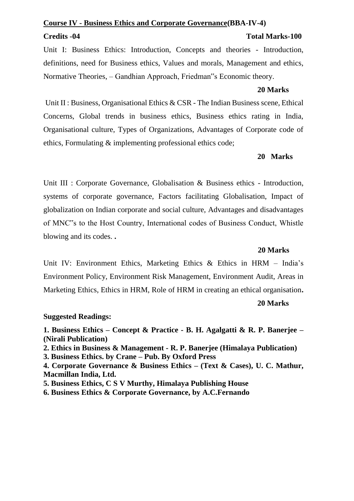## **Course IV - Business Ethics and Corporate Governance(BBA-IV-4)**

## **Credits -04 Total Marks-100**

Unit I: Business Ethics: Introduction, Concepts and theories - Introduction, definitions, need for Business ethics, Values and morals, Management and ethics, Normative Theories, – Gandhian Approach, Friedman"s Economic theory.

## **20 Marks**

Unit II : Business, Organisational Ethics & CSR - The Indian Business scene, Ethical Concerns, Global trends in business ethics, Business ethics rating in India, Organisational culture, Types of Organizations, Advantages of Corporate code of ethics, Formulating & implementing professional ethics code;

## **20 Marks**

Unit III : Corporate Governance, Globalisation & Business ethics - Introduction, systems of corporate governance, Factors facilitating Globalisation, Impact of globalization on Indian corporate and social culture, Advantages and disadvantages of MNC"s to the Host Country, International codes of Business Conduct, Whistle blowing and its codes. **.** 

## **20 Marks**

Unit IV: Environment Ethics, Marketing Ethics & Ethics in HRM – India's Environment Policy, Environment Risk Management, Environment Audit, Areas in Marketing Ethics, Ethics in HRM, Role of HRM in creating an ethical organisation**.** 

## **20 Marks**

## **Suggested Readings:**

**1. Business Ethics – Concept & Practice - B. H. Agalgatti & R. P. Banerjee – (Nirali Publication) 2. Ethics in Business & Management - R. P. Banerjee (Himalaya Publication)**

**3. Business Ethics. by Crane – Pub. By Oxford Press**

**4. Corporate Governance & Business Ethics – (Text & Cases), U. C. Mathur, Macmillan India, Ltd.**

**5. Business Ethics, C S V Murthy, Himalaya Publishing House**

**6. Business Ethics & Corporate Governance, by A.C.Fernando**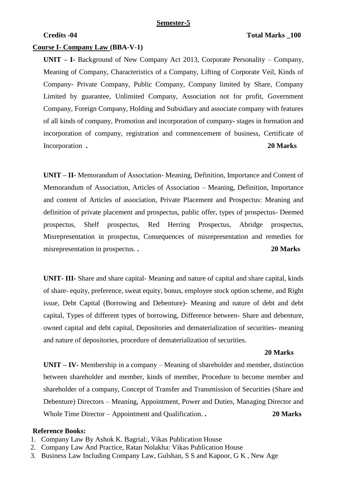#### **Semester-5**

#### **Credits -04** Total Marks 200

#### **Course I- Company Law (BBA-V-1)**

**UNIT – I-** Background of New Company Act 2013, Corporate Personality – Company, Meaning of Company, Characteristics of a Company, Lifting of Corporate Veil, Kinds of Company- Private Company, Public Company, Company limited by Share, Company Limited by guarantee, Unlimited Company, Association not for profit, Government Company, Foreign Company, Holding and Subsidiary and associate company with features of all kinds of company, Promotion and incorporation of company- stages in formation and incorporation of company, registration and commencement of business, Certificate of Incorporation **. 20 Marks**

**UNIT – II-** Memorandum of Association- Meaning, Definition, Importance and Content of Memorandum of Association, Articles of Association – Meaning, Definition, Importance and content of Articles of association, Private Placement and Prospectus: Meaning and definition of private placement and prospectus, public offer, types of prospectus- Deemed prospectus, Shelf prospectus, Red Herring Prospectus, Abridge prospectus, Misrepresentation in prospectus, Consequences of misrepresentation and remedies for misrepresentation in prospectus. **. 20 Marks**

**UNIT- III-** Share and share capital- Meaning and nature of capital and share capital, kinds of share- equity, preference, sweat equity, bonus, employee stock option scheme, and Right issue, Debt Capital (Borrowing and Debenture)- Meaning and nature of debt and debt capital, Types of different types of borrowing, Difference between- Share and debenture, owned capital and debt capital, Depositories and dematerialization of securities- meaning and nature of depositories, procedure of dematerialization of securities.

#### **20 Marks**

**UNIT – IV-** Membership in a company – Meaning of shareholder and member, distinction between shareholder and member, kinds of member, Procedure to become member and shareholder of a company, Concept of Transfer and Transmission of Securities (Share and Debenture) Directors – Meaning, Appointment, Power and Duties, Managing Director and Whole Time Director – Appointment and Qualification. **. 20 Marks** 

#### **Reference Books:**

- 1. Company Law By Ashok K. Bagrial:, Vikas Publication House
- 2. Company Law And Practice, Ratan Nolakha: Vikas Publication House
- 3. Business Law Including Company Law, Gulshan, S S and Kapoor, G K , New Age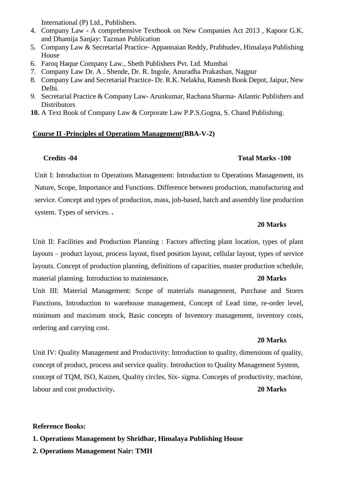International (P) Ltd., Publishers.

- 4. Company Law A comprehensive Textbook on New Companies Act 2013 , Kapoor G.K. and Dhamija Sanjay: Tazman Publication
- 5. Company Law & Secretarial Practice- Appannaian Reddy, Prabhudev, Himalaya Publishing House
- 6. Faroq Haque Company Law., Sheth Publishers Pvt. Ltd. Mumbai
- 7. Company Law Dr. A . Shende, Dr. R. Ingole, Anuradha Prakashan, Nagpur
- 8. Company Law and Secretarial Practice- Dr. R.K. Nelakha, Ramesh Book Depot, Jaipur, New Delhi.
- 9. Secretarial Practice & Company Law- Arunkumar, Rachana Sharma- Atlantic Publishers and **Distributors**
- **10.** A Text Book of Company Law & Corporate Law P.P.S.Gogna, S. Chand Publishing.

### **Course II -Principles of Operations Management(BBA-V-2)**

### **Credits -04 Total Marks -100**

Unit I: Introduction to Operations Management: Introduction to Operations Management, its Nature, Scope, Importance and Functions. Difference between production, manufacturing and service. Concept and types of production, mass, job-based, batch and assembly line production system. Types of services. **.** 

#### **20 Marks**

Unit II: Facilities and Production Planning : Factors affecting plant location, types of plant layouts – product layout, process layout, fixed position layout, cellular layout, types of service layouts. Concept of production planning, definitions of capacities, master production schedule, material planning. Introduction to maintenance. 20 Marks

Unit III: Material Management: Scope of materials management, Purchase and Stores Functions, Introduction to warehouse management, Concept of Lead time, re-order level, minimum and maximum stock, Basic concepts of Inventory management, inventory costs, ordering and carrying cost.

#### **20 Marks**

Unit IV: Quality Management and Productivity: Introduction to quality, dimensions of quality, concept of product, process and service quality. Introduction to Quality Management System, concept of TQM, ISO, Kaizen, Quality circles, Six- sigma. Concepts of productivity, machine, labour and cost productivity**. 20 Marks**

#### **Reference Books:**

**1. Operations Management by Shridhar, Himalaya Publishing House**

**2. Operations Management Nair: TMH**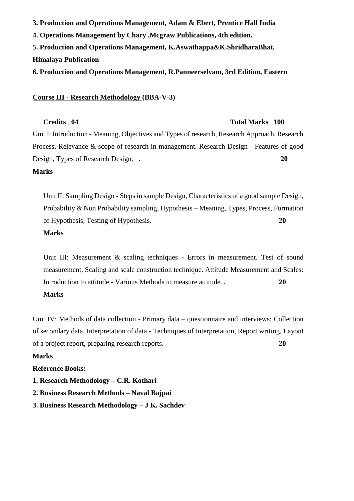**3. Production and Operations Management, Adam & Ebert, Prentice Hall India 4. Operations Management by Chary ,Mcgraw Publications, 4th edition. 5. Production and Operations Management, K.Aswathappa&K.ShridharaBhat, Himalaya Publication 6. Production and Operations Management, R.Panneerselvam, 3rd Edition, Eastern**

#### **Course III - Research Methodology (BBA-V-3)**

#### **Credits \_04 Total Marks \_100**

Unit I: Introduction - Meaning, Objectives and Types of research, Research Approach, Research Process, Relevance & scope of research in management. Research Design - Features of good Design, Types of Research Design, **. 20** 

#### **Marks**

Unit II: Sampling Design - Steps in sample Design, Characteristics of a good sample Design, Probability & Non Probability sampling. Hypothesis – Meaning, Types, Process, Formation of Hypothesis, Testing of Hypothesis**. 20** 

### **Marks**

Unit III: Measurement & scaling techniques - Errors in measurement. Test of sound measurement, Scaling and scale construction technique. Attitude Measurement and Scales: Introduction to attitude - Various Methods to measure attitude. **. 20** 

### **Marks**

Unit IV: Methods of data collection - Primary data – questionnaire and interviews; Collection of secondary data. Interpretation of data - Techniques of Interpretation, Report writing, Layout of a project report, preparing research reports**. 20** 

### **Marks**

#### **Reference Books:**

- **1. Research Methodology – C.R. Kothari**
- **2. Business Research Methods – Naval Bajpai**
- **3. Business Research Methodology – J K. Sachdev**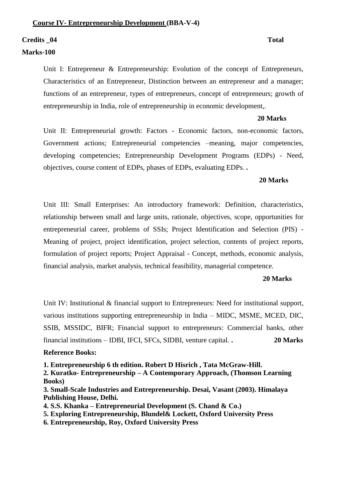#### **Credits \_04 Total**

#### **Marks-100**

Unit I: Entrepreneur & Entrepreneurship: Evolution of the concept of Entrepreneurs, Characteristics of an Entrepreneur, Distinction between an entrepreneur and a manager; functions of an entrepreneur, types of entrepreneurs, concept of entrepreneurs; growth of entrepreneurship in India, role of entrepreneurship in economic development,.

#### **20 Marks**

Unit II: Entrepreneurial growth: Factors - Economic factors, non-economic factors, Government actions; Entrepreneurial competencies –meaning, major competencies, developing competencies; Entrepreneurship Development Programs (EDPs) - Need, objectives, course content of EDPs, phases of EDPs, evaluating EDPs. **.** 

#### **20 Marks**

Unit III: Small Enterprises: An introductory framework: Definition, characteristics, relationship between small and large units, rationale, objectives, scope, opportunities for entrepreneurial career, problems of SSIs; Project Identification and Selection (PIS) - Meaning of project, project identification, project selection, contents of project reports, formulation of project reports; Project Appraisal - Concept, methods, economic analysis, financial analysis, market analysis, technical feasibility, managerial competence.

#### **20 Marks**

Unit IV: Institutional & financial support to Entrepreneurs: Need for institutional support, various institutions supporting entrepreneurship in India – MIDC, MSME, MCED, DIC, SSIB, MSSIDC, BIFR; Financial support to entrepreneurs: Commercial banks, other financial institutions – IDBI, IFCI, SFCs, SIDBI, venture capital. **. 20 Marks** 

#### **Reference Books:**

**1. Entrepreneurship 6 th edition. Robert D Hisrich , Tata McGraw-Hill.**

**2. Kuratko- Entrepreneurship – A Contemporary Approach, (Thomson Learning Books)**

**3. Small-Scale Industries and Entrepreneurship. Desai, Vasant (2003). Himalaya Publishing House, Delhi.**

- **4. S.S. Khanka – Entrepreneurial Development (S. Chand & Co.)**
- **5. Exploring Entrepreneurship, Blundel& Lockett, Oxford University Press**
- **6. Entrepreneurship, Roy, Oxford University Press**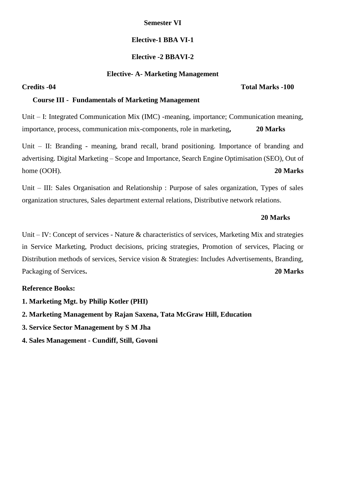### **Semester VI**

### **Elective-1 BBA VI-1**

### **Elective -2 BBAVI-2**

#### **Elective- A- Marketing Management**

#### **Course III - Fundamentals of Marketing Management**

Unit – I: Integrated Communication Mix (IMC) -meaning, importance; Communication meaning, importance, process, communication mix-components, role in marketing**, 20 Marks** 

Unit – II: Branding - meaning, brand recall, brand positioning. Importance of branding and advertising. Digital Marketing – Scope and Importance, Search Engine Optimisation (SEO), Out of home (OOH). **20 Marks**

Unit – III: Sales Organisation and Relationship : Purpose of sales organization, Types of sales organization structures, Sales department external relations, Distributive network relations.

#### **20 Marks**

Unit – IV: Concept of services - Nature & characteristics of services, Marketing Mix and strategies in Service Marketing, Product decisions, pricing strategies, Promotion of services, Placing or Distribution methods of services, Service vision & Strategies: Includes Advertisements, Branding, Packaging of Services**. 20 Marks**

#### **Reference Books:**

- **1. Marketing Mgt. by Philip Kotler (PHI)**
- **2. Marketing Management by Rajan Saxena, Tata McGraw Hill, Education**
- **3. Service Sector Management by S M Jha**
- **4. Sales Management - Cundiff, Still, Govoni**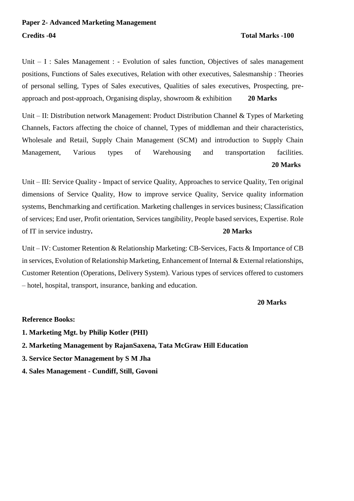Unit – I : Sales Management : - Evolution of sales function, Objectives of sales management positions, Functions of Sales executives, Relation with other executives, Salesmanship : Theories of personal selling, Types of Sales executives, Qualities of sales executives, Prospecting, preapproach and post-approach, Organising display, showroom & exhibition **20 Marks**

Unit – II: Distribution network Management: Product Distribution Channel & Types of Marketing Channels, Factors affecting the choice of channel, Types of middleman and their characteristics, Wholesale and Retail, Supply Chain Management (SCM) and introduction to Supply Chain Management, Various types of Warehousing and transportation facilities. **20 Marks**

Unit – III: Service Quality - Impact of service Quality, Approaches to service Quality, Ten original dimensions of Service Quality, How to improve service Quality, Service quality information systems, Benchmarking and certification. Marketing challenges in services business; Classification of services; End user, Profit orientation, Services tangibility, People based services, Expertise. Role of IT in service industry**. 20 Marks**

Unit – IV: Customer Retention & Relationship Marketing: CB-Services, Facts & Importance of CB in services, Evolution of Relationship Marketing, Enhancement of Internal & External relationships, Customer Retention (Operations, Delivery System). Various types of services offered to customers – hotel, hospital, transport, insurance, banking and education.

**20 Marks**

#### **Reference Books:**

- **1. Marketing Mgt. by Philip Kotler (PHI)**
- **2. Marketing Management by RajanSaxena, Tata McGraw Hill Education**
- **3. Service Sector Management by S M Jha**
- **4. Sales Management - Cundiff, Still, Govoni**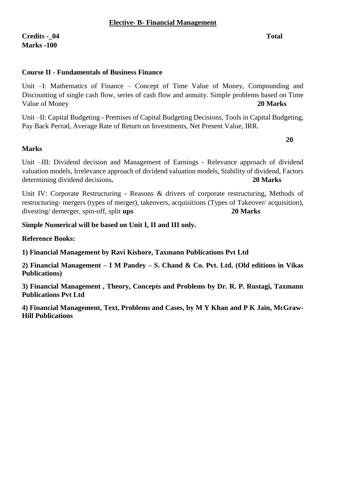## **Course II - Fundamentals of Business Finance**

Unit –I: Mathematics of Finance – Concept of Time Value of Money, Compounding and Discounting of single cash flow, series of cash flow and annuity. Simple problems based on Time Value of Money **20 Marks 20 Marks** 

Unit –II: Capital Budgeting - Premises of Capital Budgeting Decisions, Tools in Capital Budgeting, Pay Back Period, Average Rate of Return on Investments, Net Present Value, IRR.

#### **20**

### **Marks**

Unit –III: Dividend decision and Management of Earnings - Relevance approach of dividend valuation models, Irrelevance approach of dividend valuation models, Stability of dividend, Factors determining dividend decisions. 20 Marks **20 Marks** 

Unit IV: Corporate Restructuring - Reasons & drivers of corporate restructuring, Methods of restructuring- mergers (types of merger), takeovers, acquisitions (Types of Takeover/ acquisition), divesting/ demerger, spin-off, split **ups 20 Marks**

### **Simple Numerical will be based on Unit I, II and III only.**

**Reference Books:**

**1) Financial Management by Ravi Kishore, Taxmann Publications Pvt Ltd**

**2) Financial Management – I M Pandey – S. Chand & Co. Pvt. Ltd. (Old editions in Vikas Publications)**

**3) Financial Management , Theory, Concepts and Problems by Dr. R. P. Rustagi, Taxmann Publications Pvt Ltd**

**4) Financial Management, Text, Problems and Cases, by M Y Khan and P K Jain, McGraw-Hill Publications**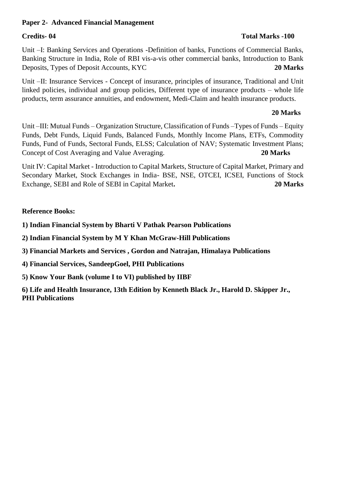### **Paper 2- Advanced Financial Management**

### **Credits- 04 Total Marks -100**

Unit –I: Banking Services and Operations -Definition of banks, Functions of Commercial Banks, Banking Structure in India, Role of RBI vis-a-vis other commercial banks, Introduction to Bank Deposits, Types of Deposit Accounts, KYC **20 Marks**

Unit –II: Insurance Services - Concept of insurance, principles of insurance, Traditional and Unit linked policies, individual and group policies, Different type of insurance products – whole life products, term assurance annuities, and endowment, Medi-Claim and health insurance products.

### **20 Marks**

Unit –III: Mutual Funds – Organization Structure, Classification of Funds –Types of Funds – Equity Funds, Debt Funds, Liquid Funds, Balanced Funds, Monthly Income Plans, ETFs, Commodity Funds, Fund of Funds, Sectoral Funds, ELSS; Calculation of NAV; Systematic Investment Plans; Concept of Cost Averaging and Value Averaging. **20 Marks**

Unit IV: Capital Market - Introduction to Capital Markets, Structure of Capital Market, Primary and Secondary Market, Stock Exchanges in India- BSE, NSE, OTCEI, ICSEI, Functions of Stock Exchange, SEBI and Role of SEBI in Capital Market**. 20 Marks**

### **Reference Books:**

**1) Indian Financial System by Bharti V Pathak Pearson Publications**

**2) Indian Financial System by M Y Khan McGraw-Hill Publications**

**3) Financial Markets and Services , Gordon and Natrajan, Himalaya Publications**

**4) Financial Services, SandeepGoel, PHI Publications**

**5) Know Your Bank (volume I to VI) published by IIBF** 

**6) Life and Health Insurance, 13th Edition by Kenneth Black Jr., Harold D. Skipper Jr., PHI Publications**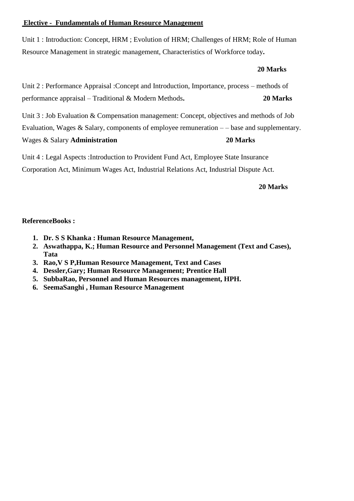### **Elective - Fundamentals of Human Resource Management**

Unit 1 : Introduction: Concept, HRM ; Evolution of HRM; Challenges of HRM; Role of Human Resource Management in strategic management, Characteristics of Workforce today**.** 

### **20 Marks**



Unit 4 : Legal Aspects :Introduction to Provident Fund Act, Employee State Insurance Corporation Act, Minimum Wages Act, Industrial Relations Act, Industrial Dispute Act.

### **20 Marks**

### **ReferenceBooks :**

- **1. Dr. S S Khanka : Human Resource Management,**
- **2. Aswathappa, K.; Human Resource and Personnel Management (Text and Cases), Tata**
- **3. Rao,V S P,Human Resource Management, Text and Cases**
- **4. Dessler,Gary; Human Resource Management; Prentice Hall**
- **5. SubbaRao, Personnel and Human Resources management, HPH.**
- **6. SeemaSanghi , Human Resource Management**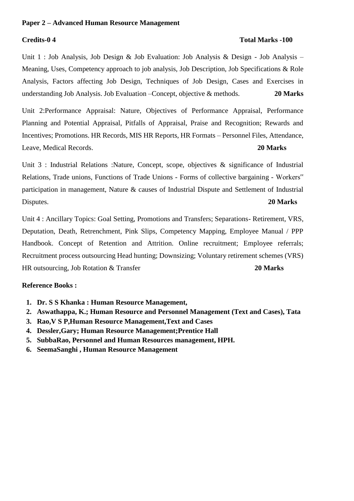#### **Paper 2 – Advanced Human Resource Management**

#### **Credits-0 4 Total Marks -100**

Unit 1 : Job Analysis, Job Design & Job Evaluation: Job Analysis & Design - Job Analysis – Meaning, Uses, Competency approach to job analysis, Job Description, Job Specifications & Role Analysis, Factors affecting Job Design, Techniques of Job Design, Cases and Exercises in understanding Job Analysis. Job Evaluation –Concept, objective & methods. **20 Marks**

Unit 2:Performance Appraisal: Nature, Objectives of Performance Appraisal, Performance Planning and Potential Appraisal, Pitfalls of Appraisal, Praise and Recognition; Rewards and Incentives; Promotions. HR Records, MIS HR Reports, HR Formats – Personnel Files, Attendance, Leave, Medical Records. **20 Marks** 

Unit 3 : Industrial Relations :Nature, Concept, scope, objectives & significance of Industrial Relations, Trade unions, Functions of Trade Unions - Forms of collective bargaining - Workers" participation in management, Nature & causes of Industrial Dispute and Settlement of Industrial Disputes. **20 Marks**

Unit 4 : Ancillary Topics: Goal Setting, Promotions and Transfers; Separations- Retirement, VRS, Deputation, Death, Retrenchment, Pink Slips, Competency Mapping, Employee Manual / PPP Handbook. Concept of Retention and Attrition. Online recruitment; Employee referrals; Recruitment process outsourcing Head hunting; Downsizing; Voluntary retirement schemes (VRS) HR outsourcing, Job Rotation & Transfer **20 Marks**

#### **Reference Books :**

- **1. Dr. S S Khanka : Human Resource Management,**
- **2. Aswathappa, K.; Human Resource and Personnel Management (Text and Cases), Tata**
- **3. Rao,V S P,Human Resource Management,Text and Cases**
- **4. Dessler,Gary; Human Resource Management;Prentice Hall**
- **5. SubbaRao, Personnel and Human Resources management, HPH.**
- **6. SeemaSanghi , Human Resource Management**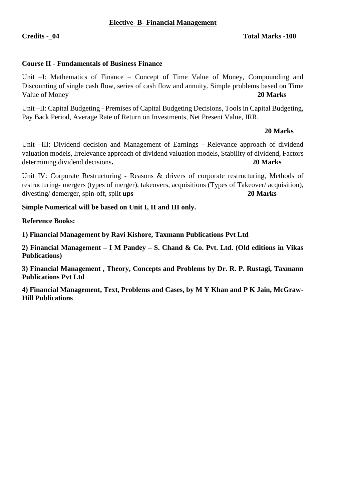#### **Elective- B- Financial Management**

### **Credits -\_04 Total Marks -100**

#### **Course II - Fundamentals of Business Finance**

Unit –I: Mathematics of Finance – Concept of Time Value of Money, Compounding and Discounting of single cash flow, series of cash flow and annuity. Simple problems based on Time Value of Money **20 Marks**

Unit –II: Capital Budgeting - Premises of Capital Budgeting Decisions, Tools in Capital Budgeting, Pay Back Period, Average Rate of Return on Investments, Net Present Value, IRR.

#### **20 Marks**

Unit –III: Dividend decision and Management of Earnings - Relevance approach of dividend valuation models, Irrelevance approach of dividend valuation models, Stability of dividend, Factors determining dividend decisions. 20 Marks **20 Marks** 

Unit IV: Corporate Restructuring - Reasons & drivers of corporate restructuring, Methods of restructuring- mergers (types of merger), takeovers, acquisitions (Types of Takeover/ acquisition), divesting/ demerger, spin-off, split **ups 20 Marks**

**Simple Numerical will be based on Unit I, II and III only.**

**Reference Books:**

**1) Financial Management by Ravi Kishore, Taxmann Publications Pvt Ltd**

**2) Financial Management – I M Pandey – S. Chand & Co. Pvt. Ltd. (Old editions in Vikas Publications)**

**3) Financial Management , Theory, Concepts and Problems by Dr. R. P. Rustagi, Taxmann Publications Pvt Ltd**

**4) Financial Management, Text, Problems and Cases, by M Y Khan and P K Jain, McGraw-Hill Publications**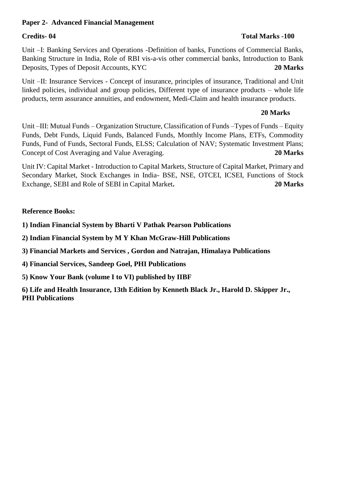### **Paper 2- Advanced Financial Management**

### **Credits- 04 Total Marks -100**

Unit –I: Banking Services and Operations -Definition of banks, Functions of Commercial Banks, Banking Structure in India, Role of RBI vis-a-vis other commercial banks, Introduction to Bank Deposits, Types of Deposit Accounts, KYC **20 Marks**

Unit –II: Insurance Services - Concept of insurance, principles of insurance, Traditional and Unit linked policies, individual and group policies, Different type of insurance products – whole life products, term assurance annuities, and endowment, Medi-Claim and health insurance products.

### **20 Marks**

Unit –III: Mutual Funds – Organization Structure, Classification of Funds –Types of Funds – Equity Funds, Debt Funds, Liquid Funds, Balanced Funds, Monthly Income Plans, ETFs, Commodity Funds, Fund of Funds, Sectoral Funds, ELSS; Calculation of NAV; Systematic Investment Plans; Concept of Cost Averaging and Value Averaging. **20 Marks**

Unit IV: Capital Market - Introduction to Capital Markets, Structure of Capital Market, Primary and Secondary Market, Stock Exchanges in India- BSE, NSE, OTCEI, ICSEI, Functions of Stock Exchange, SEBI and Role of SEBI in Capital Market**. 20 Marks**

### **Reference Books:**

**1) Indian Financial System by Bharti V Pathak Pearson Publications**

**2) Indian Financial System by M Y Khan McGraw-Hill Publications**

**3) Financial Markets and Services , Gordon and Natrajan, Himalaya Publications**

**4) Financial Services, Sandeep Goel, PHI Publications**

**5) Know Your Bank (volume I to VI) published by IIBF** 

**6) Life and Health Insurance, 13th Edition by Kenneth Black Jr., Harold D. Skipper Jr., PHI Publications**